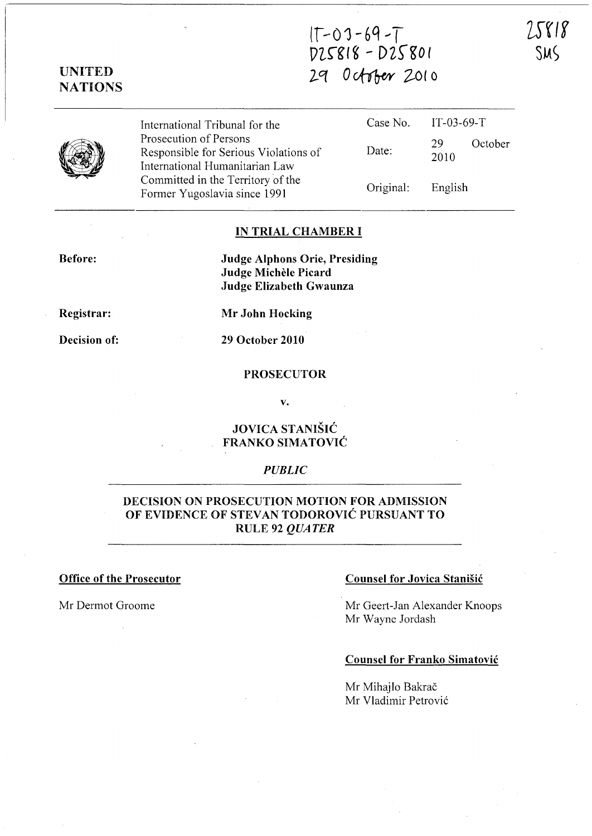$(1 - U)$  -  $0 - 7$ VLrgl ~ - *DZ,s-go ( 2-q 0 vfib-e¥* 2-0 ( 0



Prosecution of Persons Responsible for Serious Violations of Date: International Humanitarian Law Committed in the Territory of the Former Yugoslavia since 1991 Original:

International Tribunal for the Case No. IT-03-69-T 29 2010 English October

# IN TRIAL CHAMBER I

Before:

Judge Alphons Orie, Presiding Judge Michele Picard Judge Elizabeth Gwaunza

Registrar:

Mr John Hocking

Decision of:

29 October 2010

### PROSECUTOR

v.

# JOVICA STANISIC FRANKO SIMATOVIC

# *PUBLIC*

# DECISION ON PROSECUTION MOTION FOR ADMISSION OF EVIDENCE OF STEVAN TODOROVIĆ PURSUANT TO RULE 92 *QUATER*

## Office of the Prosecutor Counsel for Jovica Stanisic

Mr Dermot Groome Mr Geert-Jan Alexander Knoops Mr Wayne Jordash

# Counsel for Franko Simatovic

Mr Mihajlo Bakrač Mr Vladimir Petrović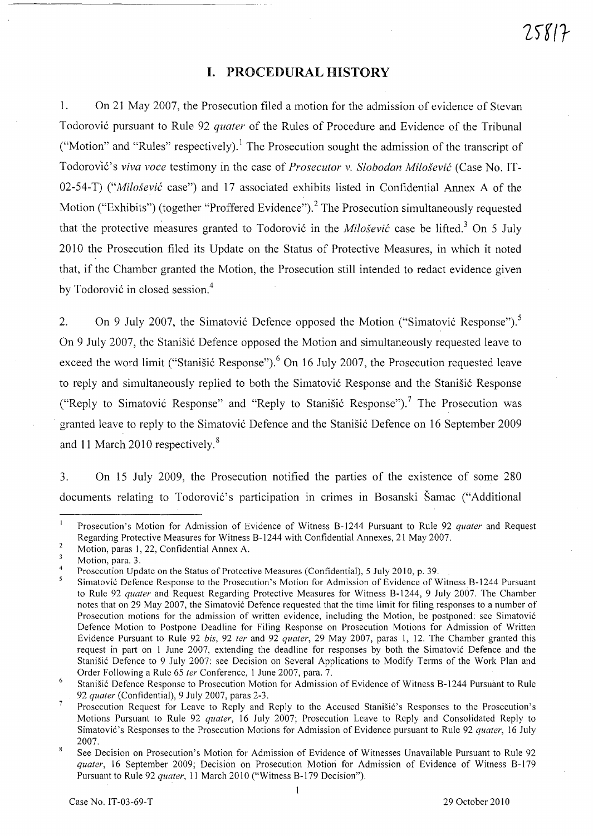# I. PROCEDURAL HISTORY

1. On 21 May 2007, the Prosecution filed a motion for the admission of evidence of Stevan Todorovi6 pursuant to Rule 92 *quater* of the Rules of Procedure and Evidence of the Tribunal ("Motion" and "Rules" respectively).! The Prosecution sought the admission of the transcript of Todorov'iC's *viva voce* testimony in the case of *Prosecutor* v, *Slobodan Milosevic* (Case No. IT-02-54-T) *("Milosevic* case") and 17 associated exhibits listed in Confidential Annex A of the Motion ("Exhibits") (together "Proffered Evidence").<sup>2</sup> The Prosecution simultaneously requested that the protective measures granted to Todorović in the *Milošević* case be lifted.<sup>3</sup> On 5 July 2010 the Prosecution filed its Update on the Status of Protective Measures, in which it noted that, if the Chamber granted the Motion, the Prosecution still intended to redact evidence given by Todorović in closed session.<sup>4</sup>

2. On 9 July 2007, the Simatović Defence opposed the Motion ("Simatović Response").<sup>5</sup> On 9 July 2007, the Stanisic Defence opposed the Motion and simultaneously requested leave to exceed the word limit ("Stanišić Response").<sup>6</sup> On 16 July 2007, the Prosecution requested leave to reply and simultaneously replied to both the Simatović Response and the Stanišić Response ("Reply to Simatović Response" and "Reply to Stanišić Response").<sup>7</sup> The Prosecution was granted leave to reply to the Simatović Defence and the Stanišić Defence on 16 September 2009 and 11 March 2010 respectively. 8

3. On 15 July 2009, the Prosecution notified the parties of the existence of some 280 documents relating to Todorović's participation in crimes in Bosanski Šamac ("Additional

 $\mathbf{1}$ Prosecution's Motion for Admission of Evidence of Witness 8-1244 Pursuant to Rule 92 *quater* and Request Regarding Protective Measures for Witness 8-1244 with Confidential Annexes, 21 May 2007.  $\overline{2}$ 

Motion, paras 1, 22, Confidential Annex A.

 $\overline{\mathbf{3}}$ Motion, para. 3.

<sup>4</sup>  Prosecution Update on the Status of Protective Measures (Confidential), 5 July 2010, p, 39,

 $\overline{\mathbf{S}}$ Simatovic Defence Response to the Prosecution's Motion for Admission of Evidence of Witness 8-1244 Pursuant to Rule 92 *quater* and Request Regarding Protective Measures for Witness 8-1244, 9 July 2007. The Chamber notes that on 29 May 2007, the Simatovic Defence requested that the time limit for filing responses to a number of Prosecution motions for the admission of written evidence, including the Motion, be postponed: see Simatovic Defence Motion to Postpone Deadline for Filing Response on Prosecution Motions for Admission of Written Evidence Pursuant to Rule 92 *his,* 92 *ter* and 92 *quater,* 29 May 2007, paras 1, 12, The Chamber granted this request in part on 1 June 2007, extending the deadline for responses by both the Simatovic Defence and the Stanišić Defence to 9 July 2007: see Decision on Several Applications to Modify Terms of the Work Plan and Order Following a Rule 65 *ter* Conference, 1 June 2007, para. 7.

 $\overline{6}$ Stanisic Defence Response to Prosecution Motion for Admission of Evidence of Witness 8-1244 Pursuant to Rule *92 quater* (Confidential), 9 July 2007, paras 2-3,

 $\overline{7}$ Prosecution Request for Leave to Reply and Reply to the Accused Stanisic's Responses to the Prosecution's Motions Pursuant to Rule 92 *quater,* 16 July 2007; Prosecution Leave to Reply and Consolidated Reply to Simatovic's Responses to the Prosecution Motions for Admission of Evidence pursuant to Rule 92 *quater,* 16 July 2007.

See Decision on Prosecution's Motion for Admission of Evidence of Witnesses Unavailable Pursuant to Rule 92 *quater,* 16 September 2009; Decision on Prosecution Motion for Admission of Evidence of Witness 8-179 Pursuant to Rule 92 *quater,* 11 March 2010 ("Witness 8-179 Decision"),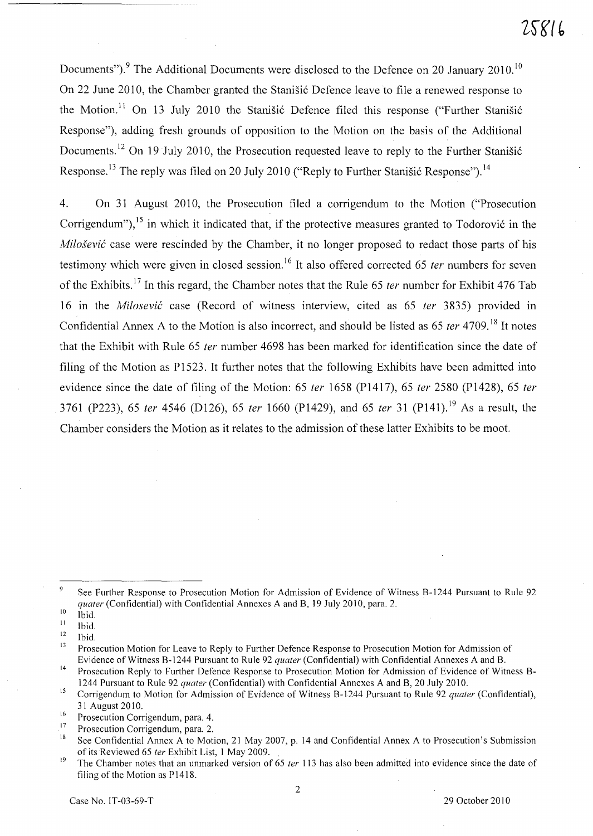Documents").<sup>9</sup> The Additional Documents were disclosed to the Defence on 20 January 2010.<sup>10</sup> On 22 June 2010, the Chamber granted the Stanistic Defence leave to file a renewed response to the Motion.<sup>11</sup> On 13 July 2010 the Stanišić Defence filed this response ("Further Stanišić Response"), adding fresh grounds of opposition to the Motion on the basis of the Additional Documents.<sup>12</sup> On 19 July 2010, the Prosecution requested leave to reply to the Further Stanistic Response.<sup>13</sup> The reply was filed on 20 July 2010 ("Reply to Further Stanišić Response").<sup>14</sup>

4. On 31 August 2010, the Prosecution filed a corrigendum to the Motion ("Prosecution Corrigendum"),  $^{15}$  in which it indicated that, if the protective measures granted to Todorović in the Milošević case were rescinded by the Chamber, it no longer proposed to redact those parts of his testimony which were given in closed session.<sup>16</sup> It also offered corrected 65 *ter* numbers for seven of the Exhibits.<sup>17</sup> In this regard, the Chamber notes that the Rule 65 *ter* number for Exhibit 476 Tab 16 in the Milosevic case (Record of witness interview, cited as 65 ter 3835) provided in Confidential Annex A to the Motion is also incorrect, and should be listed as 65 *ter* 4709.<sup>18</sup> It notes that the Exhibit with Rule 65 fer number 4698 has been marked for identification since the date of filing of the Motion as P1523. It further notes that the following Exhibits have been admitted into evidence since the date of filing of the Motion: 65 ter 1658 (P1417), 65 ter 2580 (P1428), 65 ter 3761 (P223), 65 ter 4546 (D126), 65 ter 1660 (P1429), and 65 ter 31 (P141).<sup>19</sup> As a result, the Chamber considers the Motion as it relates to the admission of these latter Exhibits to be moot.

2

 $\overline{Q}$ See Further Response to Prosecution Motion for Admission of Evidence of Witness B-1244 Pursuant to Rule 92 *quater* (Confidential) with Confidential Annexes A and B, 19 July 2010, para. 2.<br><sup>10</sup> Ibid

Ibid.

<sup>11</sup>  Ibid.

<sup>12</sup>  Ibid.

<sup>&</sup>lt;sup>13</sup> Prosecution Motion for Leave to Reply to Further Defence Response to Prosecution Motion for Admission of Evidence of Witness B-1244 Pursuant to Rule 92 *quater* (Confidential) with Confidential Annexes A and B.

<sup>14</sup> Prosecution Reply to Further Defence Response to Prosecution Motion for Admission of Evidence of Witness B-1244 Pursuant to Rule 92 *quater* (Confidential) with Confidential Annexes A and B, 20 July 2010.

<sup>15</sup> Corrigendum to Motion for Admission of Evidence of Witness 8-1244 Pursuant to Rule 92 *quater* (Confidential), 31 August 2010.

<sup>&</sup>lt;sup>16</sup> Prosecution Corrigendum, para. 4.<br><sup>17</sup> Prosecution Corrigendum, name 2.

<sup>&</sup>lt;sup>17</sup> Prosecution Corrigendum, para. 2.<br><sup>18</sup> See Confidential Annoua A to Mat

See Confidential Annex A to Motion, 21 May 2007, p. 14 and Confidential Annex A to Prosecution's Submission of its Reviewed 65 *ter* Exhibit List, 1 May 2009. .

<sup>&</sup>lt;sup>19</sup> The Chamber notes that an unmarked version of 65 *ter* 113 has also been admitted into evidence since the date of filing of the Motion as P1418.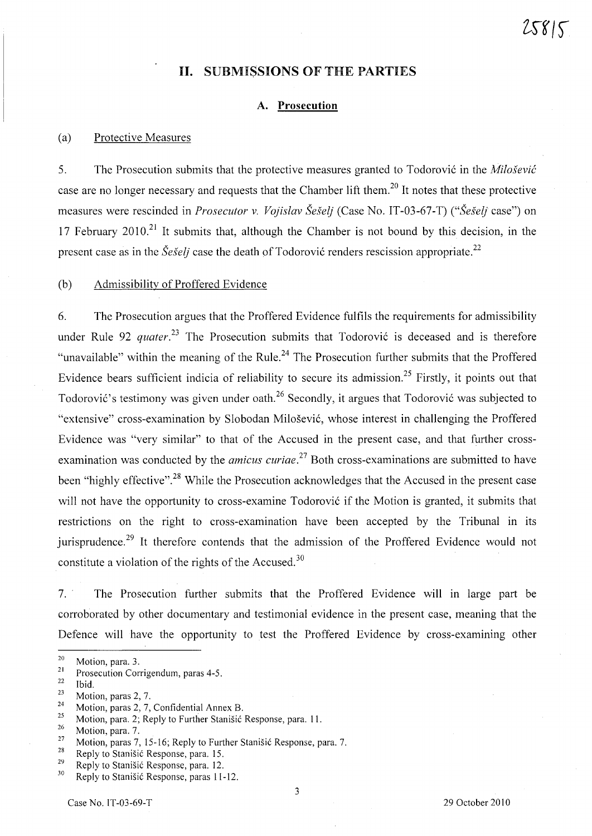# **n.** SUBMISSIONS OF THE PARTIES

## A. **Prosecution**

#### (a) Protective Measures

5. The Prosecution submits that the protective measures granted to Todorović in the *Milošević* case are no longer necessary and requests that the Chamber lift them.<sup>20</sup> It notes that these protective measures were rescinded in *Prosecutor* v. *Vojislav Seselj* (Case No. IT-03-67-T) *("Seselj* case") on 17 February 2010.<sup>21</sup> It submits that, although the Chamber is not bound by this decision, in the present case as in the *Seselj* case the death of Todorović renders rescission appropriate.<sup>22</sup>

(b) Admissibility of Proffered Evidence

6. The Prosecution argues that the Proffered Evidence fulfils the requirements for admissibility under Rule 92 *quater*.<sup>23</sup> The Prosecution submits that Todorović is deceased and is therefore "unavailable" within the meaning of the Rule.<sup>24</sup> The Prosecution further submits that the Proffered Evidence bears sufficient indicia of reliability to secure its admission.25 Firstly, it points out that Todorović's testimony was given under oath.<sup>26</sup> Secondly, it argues that Todorović was subjected to "extensive" cross-examination by Slobodan Milosevi6, whose interest in challenging the Proffered Evidence was "very similar" to that of the Accused in the present case, and that further crossexamination was conducted by the *amicus curiae*.<sup>27</sup> Both cross-examinations are submitted to have been "highly effective".<sup>28</sup> While the Prosecution acknowledges that the Accused in the present case will not have the opportunity to cross-examine Todorović if the Motion is granted, it submits that restrictions on the right to cross-examination have been accepted by the Tribunal in its jurisprudence.<sup>29</sup> It therefore contends that the admission of the Proffered Evidence would not constitute a violation of the rights of the Accused.<sup>30</sup>

7. The Prosecution further submits that the Proffered Evidence will in large part be corroborated by other documentary and testimonial evidence in the present case, meaning that the Defence will have the opportunity to test the Proffered Evidence by cross-examining other

3

 $\frac{20}{21}$  Motion, para. 3.

<sup>&</sup>lt;sup>21</sup> Prosecution Corrigendum, paras 4-5.

 $rac{22}{23}$  Ibid.

 $\frac{23}{24}$  Motion, paras 2, 7.

<sup>&</sup>lt;sup>24</sup> Motion, paras 2, 7, Confidential Annex B.

<sup>&</sup>lt;sup>25</sup> Motion, para. 2; Reply to Further Stanisic Response, para. 11.<br>
26 Motion, para. 7.

<sup>&</sup>lt;sup>27</sup> Motion, paras 7, 15-16; Reply to Further Stanisić Response, para. 7.<br><sup>28</sup> Penly to Stanišić Response, para. 15.

<sup>&</sup>lt;sup>28</sup> Reply to Stanišić Response, para. 15.

<sup>&</sup>lt;sup>29</sup> Reply to Stanišić Response, para. 12.<br><sup>30</sup> Parakta Stanišić Response asuse 11.

Reply to Stanišić Response, paras 11-12.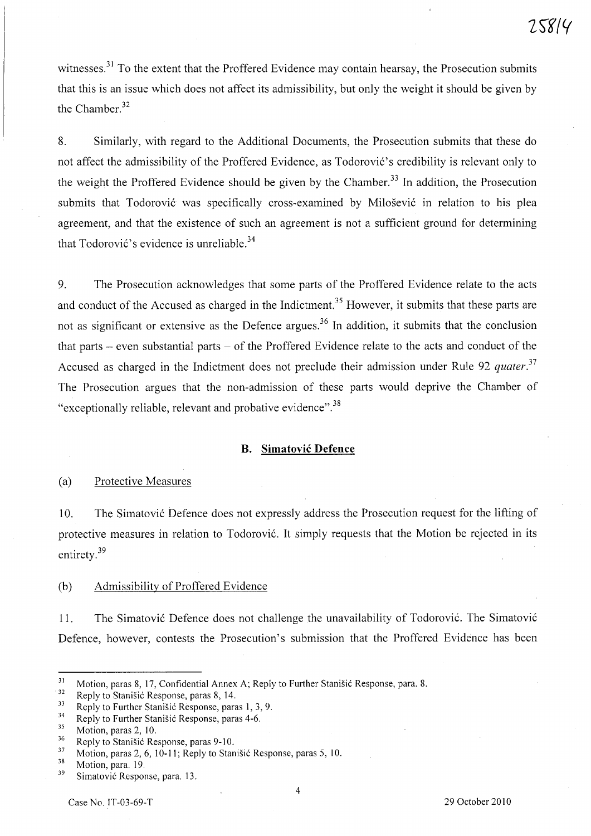witnesses.<sup>31</sup> To the extent that the Proffered Evidence may contain hearsay, the Prosecution submits that this is an issue which does not affect its admissibility, but only the weight it should be given by the Chamber.<sup>32</sup>

8. Similarly, with regard to the Additional Documents, the Prosecution submits that these do not affect the admissibility of the Proffered Evidence, as Todorović's credibility is relevant only to the weight the Proffered Evidence should be given by the Chamber.<sup>33</sup> In addition, the Prosecution submits that Todorović was specifically cross-examined by Milošević in relation to his plea agreement, and that the existence of such an agreement is not a sufficient ground for determining that Todorović's evidence is unreliable. $34$ 

9. The Prosecution acknowledges that some parts of the Proffered Evidence relate to the acts and conduct of the Accused as charged in the Indictment.<sup>35</sup> However, it submits that these parts are not as significant or extensive as the Defence argues.<sup>36</sup> In addition, it submits that the conclusion that parts - even substantial parts - of the Proffered Evidence relate to the acts and conduct of the Accused as charged in the Indictment does not preclude their admission under Rule 92 *quater. <sup>37</sup>* The Prosecution argues that the non-admission of these parts would deprive the Chamber of "exceptionally reliable, relevant and probative evidence".<sup>38</sup>

#### B. **Sirnatovic Defence**

#### (a) Protective Measures

10. The Simatovi6 Defence does not expressly address the Prosecution request for the lifting of protective measures in relation to Todorović. It simply requests that the Motion be rejected in its entirety.<sup>39</sup>

#### (b) Admissibility of Proffered Evidence

11. The Simatović Defence does not challenge the unavailability of Todorović. The Simatović Defence, however, contests the Prosecution's submission that the Proffered Evidence has been

4

<sup>&</sup>lt;sup>31</sup> Motion, paras 8, 17, Confidential Annex A; Reply to Further Stanišić Response, para. 8.<br><sup>32</sup> Penly to Stanišić Response, paras 8, 14

 $\frac{32}{33}$  Reply to Stanisić Response, paras 8, 14.

<sup>&</sup>lt;sup>33</sup> Reply to Further Stanišić Response, paras 1, 3, 9.<br> $\frac{34}{7}$  Reply to Further Stanišić Response name 4.6

<sup>&</sup>lt;sup>34</sup> Reply to Further Stanišić Response, paras 4-6.

 $\frac{35}{36}$  Motion, paras 2, 10.

 $\frac{36}{37}$  Reply to Stanisic Response, paras 9-10.<br> $\frac{37}{37}$  Motion paras 2.6, 10, 11; Benly to Stan

 $\frac{37}{38}$  Motion, paras 2, 6, 10-11; Reply to Stanisic Response, paras 5, 10.

 $\frac{38}{39}$  Motion, para. 19.

Simatović Response, para. 13.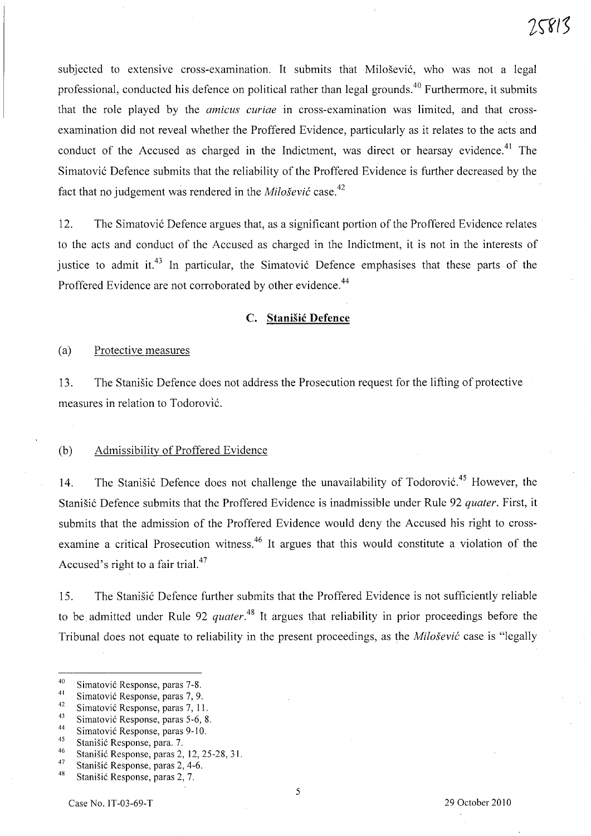subjected to extensive cross-examination. It submits that Milosevic, who was not a legal professional, conducted his defence on political rather than legal grounds.<sup>40</sup> Furthermore, it submits that the role played by the *amicus curiae* in cross-examination was limited, and that crossexamination did not reveal whether the Proffered Evidence, particularly as it relates to the acts and conduct of the Accused as charged in the Indictment, was direct or hearsay evidence.<sup>41</sup> The Simatovic Defence submits that the reliability of the Proffered Evidence is further decreased by the fact that no judgement was rendered in the *Milosevic* case. 42

12. The Simatovic Defence argues that, as a significant portion of the Proffered Evidence relates to the acts and conduct of the Accused as charged in the Indictment, it is not in the interests of iustice to admit it.<sup>43</sup> In particular, the Simatovic Defence emphasises that these parts of the Proffered Evidence are not corroborated by other evidence.<sup>44</sup>

# **C. Stanisic Defence**

### (a) Protective measures

13. The Stanisic Defence does not address the Prosecution request for the lifting of protective measures in relation to Todorovic.

#### (b) Admissibility of Proffered Evidence

14. The Stanišić Defence does not challenge the unavailability of Todorović.<sup>45</sup> However, the Stanisic Defence submits that the Proffered Evidence is inadmissible under Rule 92 *quater.* First, it submits that the admission of the Proffered Evidence would deny the Accused his right to crossexamine a critical Prosecution witness.<sup>46</sup> It argues that this would constitute a violation of the Accused's right to a fair trial.<sup>47</sup>

15. The Stanisic Defence further submits that the Proffered Evidence is not sufficiently reliable to be admitted under Rule 92 *quater.<sup>48</sup>*It argues that reliability in prior proceedings before the Tribunal does not equate to reliability in the present proceedings, as the *Milosevic* case is "legally

<sup>40</sup>  Simatovic Response, paras 7-8.

<sup>41</sup>  Simatovic Response, paras 7, 9.

<sup>42</sup>  Simatovic Response, paras 7, 11.

<sup>43</sup>  Simatovic Response, paras 5-6, 8.

<sup>44</sup>  Simatovic Response, paras 9-10.

<sup>45</sup>  Stanisic Response, para. 7.

<sup>46</sup>  Stanisic Response, paras 2, 12, 25-28, 31.

<sup>47</sup>  Stanisic Response, paras 2, 4-6.

<sup>48</sup>  Stanisic Response, paras 2, 7.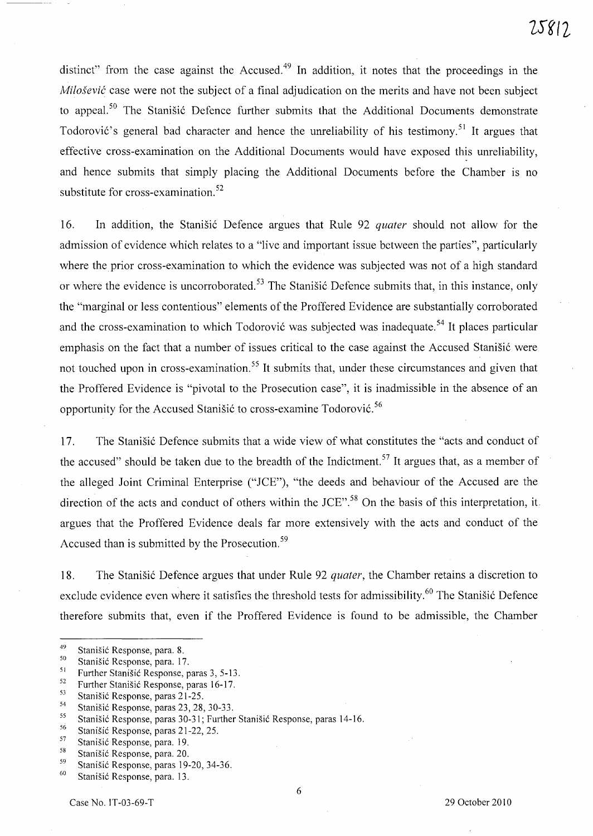distinct" from the case against the Accused.<sup>49</sup> In addition, it notes that the proceedings in the *Milosevic* case were not the subject of a final adjudication on the merits and have not been subject to appeal.<sup>50</sup> The Stanišić Defence further submits that the Additional Documents demonstrate Todorović's general bad character and hence the unreliability of his testimony.<sup>51</sup> It argues that effective cross-examination on the Additional Documents would have exposed this umeliability, and hence submits that simply placing the Additional Documents before the Chamber is no substitute for cross-examination.<sup>52</sup>

16. In addition, the Stanisic Defence argues that Rule 92 *quater* should not allow for the admission of evidence which relates to a "live and important issue between the parties", particularly where the prior cross-examination to which the evidence was subjected was not of a high standard or where the evidence is uncorroborated.<sup>53</sup> The Stanistic Defence submits that, in this instance, only the "marginal or less contentious" elements of the Proffered Evidence are substantially corroborated and the cross-examination to which Todorović was subjected was inadequate.<sup>54</sup> It places particular emphasis on the fact that a number of issues critical to the case against the Accused Stanisić were not touched upon in cross-examination.<sup>55</sup> It submits that, under these circumstances and given that the Proffered Evidence is "pivotal to the Prosecution case", it is inadmissible in the absence of an opportunity for the Accused Stanišić to cross-examine Todorović.<sup>56</sup>

17. The Stanišić Defence submits that a wide view of what constitutes the "acts and conduct of the accused" should be taken due to the breadth of the Indictment.<sup>57</sup> It argues that, as a member of the alleged loint Criminal Enterprise *("lCE"),* "the deeds and behaviour of the Accused are the direction of the acts and conduct of others within the *lCE".58* On the basis of this interpretation, it. argues that the Proffered Evidence deals far more extensively with the acts and conduct of the Accused than is submitted by the Prosecution.<sup>59</sup>

18. The Stanisi6 Defence argues that under Rule 92 *quater,* the Chamber retains a discretion to exclude evidence even where it satisfies the threshold tests for admissibility.<sup>60</sup> The Stanišić Defence therefore submits that, even if the Proffered Evidence is found to be admissible, the Chamber

<sup>&</sup>lt;sup>49</sup> Stanišić Response, para. 8.<br> $\frac{50}{2}$  Stanišić Response name. 17

 $^{50}$  Stanišić Response, para. 17.<br> $^{51}$  Eurther Stanišić Besponse

<sup>&</sup>lt;sup>51</sup> Further Stanisić Response, paras  $3, 5-13$ .<br><sup>52</sup> Eugene Stanišić Response, paras 16, 17.

<sup>&</sup>lt;sup>52</sup> Further Stanisić Response, paras 16-17.<br>
Stanišić Response, paras 21.25

<sup>&</sup>lt;sup>53</sup> Stanišić Response, paras 21-25.<br><sup>54</sup> Stanišić Pernanse, paras 22. 28.

<sup>&</sup>lt;sup>54</sup> Stanišić Response, paras 23, 28, 30-33.

<sup>&</sup>lt;sup>55</sup> Stanišić Response, paras 30-31; Further Stanišić Response, paras 14-16.<br><sup>56</sup> Stanišić Response, paras 21.22.25.

<sup>&</sup>lt;sup>56</sup> Stanišić Response, paras 21-22, 25.<br> $\frac{57}{2}$ . Stanišić Regnance, para 10.

 $\frac{57}{58}$  Stanišić Response, para. 19.

<sup>&</sup>lt;sup>58</sup> Stanišić Response, para. 20.

<sup>&</sup>lt;sup>59</sup> Stanišić Response, paras 19-20, 34-36.<br> $\frac{60}{2}$  Stanišić Response name 12.

Stanišić Response, para. 13.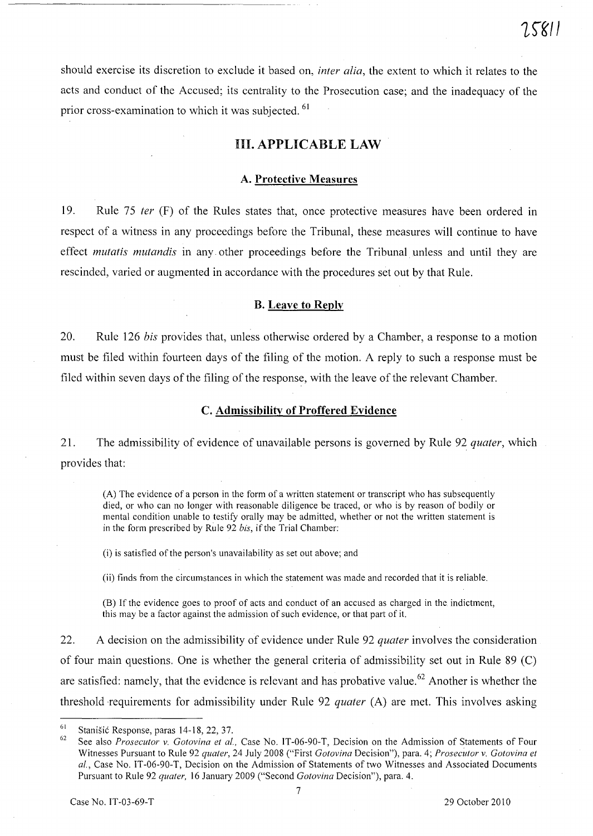should exercise its discretion to exclude it based on, *inter alia,* the extent to which it relates to the acts and conduct of the Accused; its centrality to the Prosecution case; and the inadequacy of the prior cross-examination to which it was subjected.<sup>61</sup>

# **Ill. APPLICABLE LAW**

#### **A. Protective Measures**

19. Rule 75 *ter* (F) of the Rules states that, once protective measures have been ordered in respect of a witness in any proceedings before the Tribunal, these measures will continue to have effect *mutatis mutandis* in any. other proceedings before the Tribunal unless and until they are rescinded, varied or augmented in accordance with the procedures set out by that Rule.

#### **B. Leave to Reply**

20. Rule 126 *his* provides that, unless otherwise ordered by a Chamber, a response to a motion must be filed within fourteen days of the filing of the motion. A reply to such a response must be filed within seven days of the filing of the response, with the leave of the relevant Chamber.

#### **C. Admissibility of Proffered Evidence**

21. The admissibility of evidence of unavailable persons is governed by Rule 92 *quater,* which provides that:

(A) The evidence of a person in the form of a written statement or transcript who has subsequently died, or who can no longer with reasonable diligence be traced, or who is by reason of bodily or mental condition unable to testify orally may be admitted, whether or not the written statement is in the form prescribed by Rule 92 *his,* if the Trial Chamber:

(i) is satisfied of the person's unavailability as set out above; and

(ii) finds from the circumstances in which the statement was made and recorded that it is reliable.

(8) If the evidence goes to proof of acts and conduct of an accused as charged in the indictment, this may be a factor against the admission of such evidence, or that part of it.

22. A decision on the admissibility of evidence under Rule 92 *quater* involves the consideration of four main questions. One is whether the general criteria of admissibility set out in Rule 89 Cc) are satisfied: namely, that the evidence is relevant and has probative value.<sup>62</sup> Another is whether the threshold requirements for admissibility under Rule 92 *quater* (A) are met. This involves asking

<sup>61</sup>  Stanišić Response, paras 14-18, 22, 37.

<sup>62</sup>  See also *Prosecutor* v. *Gotovina et al.,* Case No. IT-06-90-T, Decision on the Admission of Statements of Four Witnesses Pursuant to Rule 92 *quater*, 24 July 2008 ("First *Gotovina Decision")*, para. 4; *Prosecutor v. Gotovina et al.,* Case No. IT -06-90-T, Decision on the Admission of Statements of two Witnesses and Associated Documents Pursuant to Rule 92 *quater,* 16 January 2009 ("Second *Gotovina* Decision"), para. 4.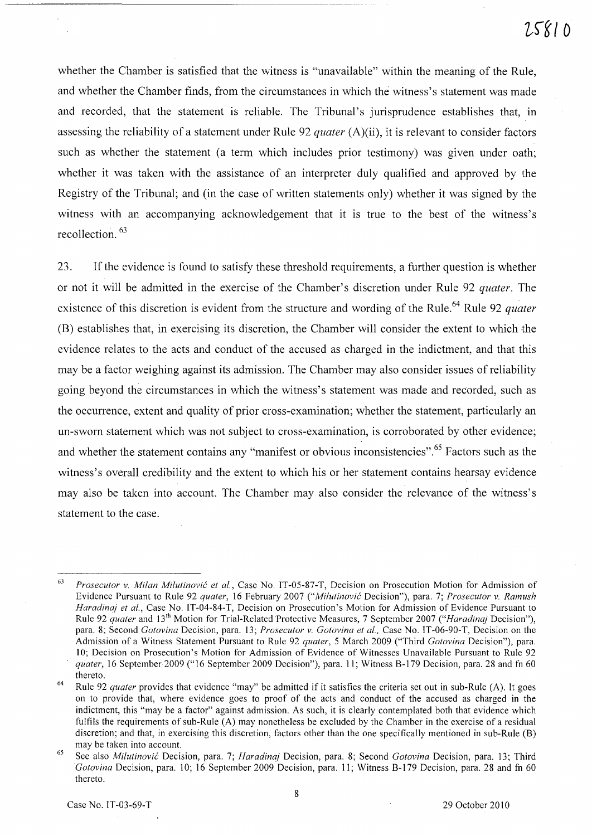whether the Chamber is satisfied that the witness is "unavailable" within the meaning of the Rule, and whether the Chamber finds, from the circumstances in which the witness's statement was made and recorded, that the statement is reliable. The Tribunal's jurisprudence establishes that, in assessing the reliability of a statement under Rule 92 *quater* (A)(ii), it is relevant to consider factors such as whether the statement (a term which includes prior testimony) was given under oath; whether it was taken with the assistance of an interpreter duly qualified and approved by the Registry of the Tribunal; and (in the case of written statements only) whether it was signed by the witness with an accompanying acknowledgement that it is true to the best of the witness's recollection. 63

23. If the evidence is found to satisfy these threshold requirements, a further question is whether or not it will be admitted in the exercise of the Chamber's discretion under Rule 92 *quater.* The existence of this discretion is evident from the structure and wording of the Rule.<sup>64</sup> Rule 92 *quater* (B) establishes that, in exercising its discretion, the Chamber will consider the extent to which the evidence relates to the acts and conduct of the accused as charged in the indictment, and that this may be a factor weighing against its admission. The Chamber may also consider issues of reliability going beyond the circumstances in which the witness's statement was made and recorded, such as the occurrence, extent and quality of prior cross-examination; whether the statement, particularly an un-sworn statement which was not subject to cross-examination, is corroborated by other evidence; and whether the statement contains any "manifest or obvious inconsistencies".<sup>65</sup> Factors such as the witness's overall credibility and the extent to which his or her statement contains hearsay evidence may also be taken into account. The Chamber may also consider the relevance of the witness's statement to the case.

<sup>63</sup>  *Prosecutor* v. *Milan Milutinovic et al.,* Case No. IT-05-87-T, Decision on Prosecution Motion for Admission of Evidence Pursuant to Rule 92 *quater,* 16 February 2007 *("Milutinovic* Decision"), para. 7; *Prosecutor* v. *Ramush Haradinaj et aI.,* Case No. IT-04-84-T, Decision on Prosecution's Motion for Admission of Evidence Pursuant to Rule 92 *quater* and 13th Motion for Trial-Related'Protective Measures, 7 September 2007 *("Haradinaj* Decision"), para. 8; Second *Gotovina* Decision, para. 13; *Prosecutor* v. *Gotovina et aI.,* Case No. IT-06-90-T, Decision on the Admission of a Witness Statement Pursuant to Rule 92 *quater,* 5 March 2009 ("Third *Gotovina* Decision"), para. 10; Decision on Prosecution's Motion for Admission of Evidence of Witnesses Unavailable Pursuant to Rule 92 *quater, 16 September 2009* ("16 September 2009 Decision"), para. 11; Witness B-179 Decision, para. 28 and fn 60 thereto.

<sup>64</sup>  Rule 92 *quater* provides that evidence "may" be admitted if it satisfies the criteria set out in sub-Rule (A). It goes on to provide that, where evidence goes to proof of the acts and conduct of the accused as charged in the indictment, this "may be a factor" against admission. As such, it is clearly contemplated both that evidence which fulfils the requirements of sub-Rule (A) may nonetheless be excluded by the Chamber in the exercise of a residual discretion; and that, in exercising this discretion, factors other than the one specifically mentioned in sub-Rule CB) may be taken into account.

<sup>65</sup>  See also *Milutinovic* Decision, para. 7; *Haradinaj* Decision, para. 8; Second *Gotovina* Decision, para. 13; Third *Gotovina* Decision, para. 10; 16 September 2009 Decision, para. 11; Witness 8-179 Decision, para. 28 and fn 60 thereto.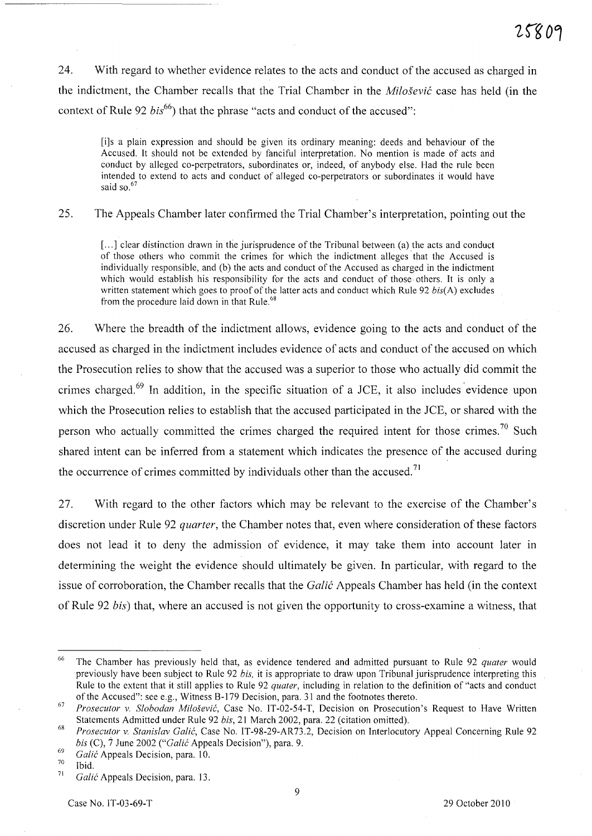24. With regard to whether evidence relates to the acts and conduct of the accused as charged in the indictment, the Chamber recalls that the Trial Chamber in the *Milosevic* case has held (in the context of Rule 92 *bis*<sup>66</sup>) that the phrase "acts and conduct of the accused":

[i]s a plain expression and should be given its ordinary meaning: deeds and behaviour of the Accused. It should not be extended by fanciful interpretation. No mention is made of acts and conduct by alleged co-perpetrators, subordinates or, indeed, of anybody else. Had the rule been intended to extend to acts and conduct of alleged co-perpetrators or subordinates it would have said so.<sup>67</sup>

25. The Appeals Chamber later confirmed the Trial Chamber's interpretation, pointing out the

[...] clear distinction drawn in the jurisprudence of the Tribunal between (a) the acts and conduct of those others who commit the crimes for which the indictment alleges· that the Accused is individually responsible, and (b) the acts and conduct of the Accused as charged in the indictment which would establish his responsibility for the acts and conduct of those· others. It is only a written statement which goes to proof of the latter acts and conduct which Rule 92 *bis(A)* excludes from the procedure laid down in that Rule.<sup>68</sup>

26. Where the breadth of the indictment allows, evidence going to the acts and conduct of the accused as charged in the indictment includes evidence of acts and conduct of the accused on which the Prosecution relies to show that the accused was a superior to those who actually did commit the crimes charged.<sup>69</sup> In addition, in the specific situation of a JCE, it also includes evidence upon which the Prosecution relies to establish that the accused participated in the *lCE,* or shared with the person who actually committed the crimes charged the required intent for those crimes.<sup>70</sup> Such shared intent can be inferred from a statement which indicates the presence of the accused during the occurrence of crimes committed by individuals other than the accused.<sup>71</sup>

27. With regard to the other factors which may be relevant to the exercise of the Chamber's discretion under Rule 92 *quarter,* the Chamber notes that, even where consideration of these factors does not lead it to deny the admission of evidence, it may take them into account later in determining the weight the evidence should ultimately be given. In particular, with regard to the issue of corroboration, the Chamber recalls that the *Galic* Appeals Chamber has held (in the context of Rule 92 *bis)* that, where an accused is not given the opportunity to cross-examine a witness, that

<sup>66</sup> The Chamber has previously held that, as evidence tendered and admitted pursuant to Rule 92 *quater* would previously have been subject to Rule 92 *bis,* it is appropriate to draw upon Tribunal jurisprudence interpreting this Rule to the extent that it still applies to Rule 92 *quater,* including in relation to the definition of "acts and conduct of the Accused": see e.g., Witness 8-179 Decision, para. 31 and the footnotes thereto.

*<sup>67</sup> Prosecutor v. Slobodan Milosevic,* Case No. IT-02-54-T, Decision on Prosecution's Request to Have Written Statements Admitted under Rule 92 *bis*, 21 March 2002, para. 22 (citation omitted).

*Prosecutor v. Stanislav Galic,* Case No. IT-98-29-AR73.2, Decision on Interlocutory Appeal Concerning Rule 92 *bis* (C),  $\dot{7}$  June 2002 ("*Galić Appeals Decision*"), para. 9.

<sup>69</sup>  *Ga/ic* Appeals Decision, para. 10.

<sup>70</sup>  Ibid.

<sup>71</sup>  *Ga/ic* Appeals Decision, para. 13.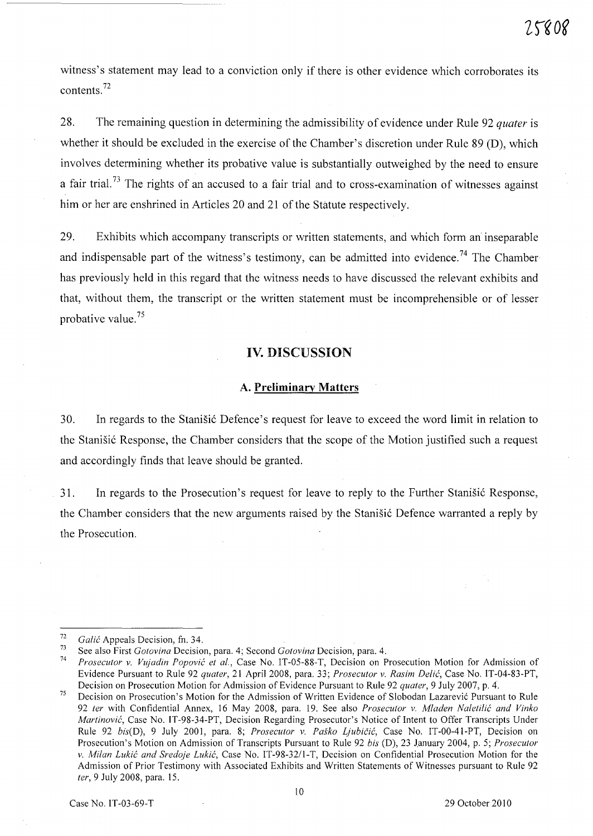witness's statement may lead to a conviction only if there is other evidence which corroborates its contents. <sup>72</sup>

28. The remaining question in determining the admissibility of evidence under Rule 92 *quater* is whether it should be excluded in the exercise of the Chamber's discretion under Rule 89 (D), which involves determining whether its probative value is substantially outweighed by the need to ensure a fair trial.<sup>73</sup> The rights of an accused to a fair trial and to cross-examination of witnesses against him or her are enshrined in Articles 20 and 21 of the Statute respectively.

29. Exhibits which accompany transcripts or written statements, and which form an inseparable and indispensable part of the witness's testimony, can be admitted into evidence.<sup>74</sup> The Chamber has previously held in this regard that the witness needs to have discussed the relevant exhibits and that, without them, the transcript or the written statement must be incomprehensible or of lesser probative value. <sup>75</sup>

# **IV. DISCUSSION**

#### **A. Preliminary Matters**

30. In regards to the Stanisic Defence's request for leave to exceed the word limit in relation to the Stanišić Response, the Chamber considers that the scope of the Motion justified such a request and accordingly finds that leave should be granted.

31. In regards to the Prosecution's request for leave to reply to the Further Stanisic Response, the Chamber considers that the new arguments raised by the Stanisic Defence warranted a reply by the Prosecution.

<sup>72</sup>  *Gali6* Appeals Decision, fn. 34.

<sup>73</sup>  See also First *Gotovina* Decision, para. 4; Second *Gotovina* Decision, para. 4.

<sup>74</sup>  *Prosecutor v. Vujadin Popovi6 et aI.,* Case No. IT-05-88-T, Decision on Prosecution Motion for Admission of Evidence Pursuant to Rule 92 *quater,* 21 April 2008, para. 33; *Prosecutor v. Rasim Delic,* Case No. IT-04-83-PT, Decision on Prosecution Motion for Admission of Evidence Pursuant to Rule 92 *quater,* 9 July 2007, p. 4.

<sup>75</sup>  Decision on Prosecution's Motion for the Admission of Written Evidence of Slobodan Lazarević Pursuant to Rule *92 ter* with Confidential Annex, 16 May 2008, para. 19. See also *Prosecutor v. Mladen Naletili6 and Vinko Martinović*, Case No. IT-98-34-PT, Decision Regarding Prosecutor's Notice of Intent to Offer Transcripts Under Rule 92 bis(D), 9 July 2001, para. 8; Prosecutor v. Paško Ljubičić, Case No. IT-00-41-PT, Decision on Prosecution's Motion on Admission of Transcripts Pursuant to Rule 92 *bis* (D), 23 J.anuary 2004, p. 5; *Prosecutor v. Milan Luki6 and Sredoje Lukic,* Case No. IT-98-32/l-T, Decision on Confidential Prosecution Motion for the Admission of Prior Testimony with Associated Exhibits and Written Statements of Witnesses pursuant to Rule 92 *ter,* 9 July 2008, para. 15.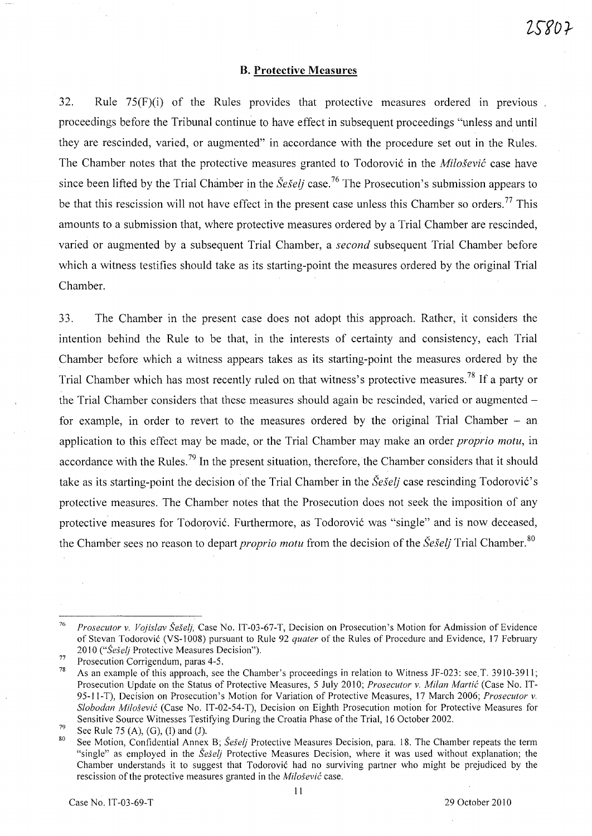#### **B. Protective Measures**

32. Rule  $75(F)(i)$  of the Rules provides that protective measures ordered in previous proceedings before the Tribunal continue to have effect in subsequent proceedings "unless and until they are rescinded, varied, or augmented" in accordance with the procedure set out in the Rules. The Chamber notes that the protective measures granted to Todorovic in the *Milosevic* case have since been lifted by the Trial Chamber in the *Seselj* case. <sup>76</sup>The Prosecution's submission appears to be that this rescission will not have effect in the present case unless this Chamber so orders.<sup>77</sup> This amounts to a submission that, where protective measures ordered by a Trial Chamber are rescinded, varied or augmented by a subsequent Trial Chamber, a *second* subsequent Trial Chamber before which a witness testifies should take as its starting-point the measures ordered by the original Trial Chamber.

33. The Chamber in the present case does not adopt this approach. Rather, it considers the intention behind the Rule to be that, in the interests of certainty and consistency, each Trial Chamber before which a witness appears takes as its starting-point the measures ordered by the Trial Chamber which has most recently ruled on that witness's protective measures.<sup>78</sup> If a party or the Trial Chamber considers that these measures should again be rescinded, varied or augmented for example, in order to revert to the measures ordered by the original Trial Chamber - an application to this effect may be made, or the Trial Chamber may make an order *proprio motu,* in accordance with the Rules.<sup>79</sup> In the present situation, therefore, the Chamber considers that it should take as its starting-point the decision of the Trial Chamber in the *Seselj* case rescinding Todorovic's protective measures. The Chamber notes that the Prosecution does not seek the imposition of any protective measures for Todorovic. Furthermore, as Todorovic was "single" and is now deceased, the Chamber sees no reason to depart *proprio motu* from the decision of the *Šešelj* Trial Chamber.<sup>80</sup>

<sup>76</sup>  *Prosecutor* v. *Vojislav Seselj,* Case No. IT-03-67-T, Decision on Prosecution's Motion for Admission of Evidence of Stevan Todorovic (VS-1008) pursuant to Rule 92 *quater* of the Rules of Procedure and Evidence, 17 February *2010 ("Seselj* Protective Measures Decision").

<sup>77</sup>  Prosecution Corrigendum, paras 4-5.

<sup>78</sup>  As an example of this approach, see the Chamber's proceedings in relation to Witness *IF-023:* see.T. 3910-3911; Prosecution Update on the Status of Protective Measures, 5 July 2010; *Prosecutor* v. *Milan Martic* (Case No. IT-95-II-T), Decision on Prosecution's Motion for Variation of Protective Measures, 17 March 2006; *Prosecutor* v. *Slobodan Milosevic* (Case No. IT -02-54-T), Decision on Eighth Prosecution motion for Protective Measures for Sensitive Source Witnesses Testifying During the Croatia Phase of the Trial, 16 October 2002.

<sup>79</sup>  See Rule 75 (A), (G), (I) and (J).

<sup>80</sup>  See Motion, Confidential Annex B; *Šešelj* Protective Measures Decision, para. 18. The Chamber repeats the term "single" as employed in the *Seselj* Protective Measures Decision, where it was used without explanation; the Chamber understands it to suggest that Todorovic had no surviving partner who might be prejudiced by the rescission of the protective measures granted in the *Milosevic* case.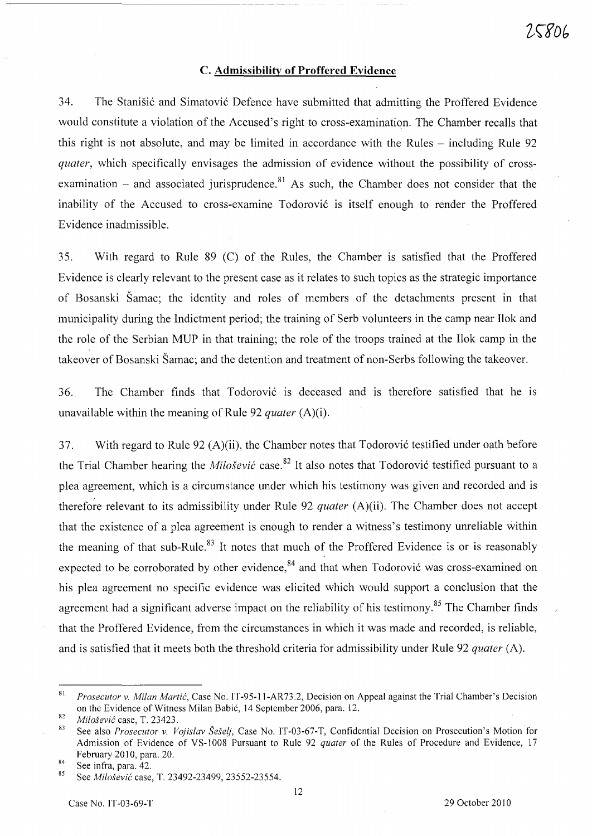# C. **Admissibility of Proffered Evidence**

34. The Stanišić and Simatović Defence have submitted that admitting the Proffered Evidence would constitute a violation of the Accused's right to cross-examination. The Chamber recalls that this right is not absolute, and may be limited in accordance with the Rules – including Rule 92 *quater,* which specifically envisages the admission of evidence without the possibility of crossexamination  $-$  and associated jurisprudence.<sup>81</sup> As such, the Chamber does not consider that the inability of the Accused to cross-examine Todorović is itself enough to render the Proffered Evidence inadmissible.

35. With regard to Rule 89 (C) of the Rules, the Chamber is satisfied that the Proffered Evidence is clearly relevant to the present case as it relates to such topics as the strategic importance of Bosanski Samac; the identity and roles of members of the detachments present in that municipality during the Indictment period; the training of Serb volunteers in the camp near Ilok and the role of the Serbian MUP in that training; the role of the troops trained at the Ilok camp in the takeover of Bosanski Samac; and the detention and treatment of non-Serbs following the takeover.

36. The Chamber finds that Todorović is deceased and is therefore satisfied that he is unavailable within the meaning of Rule 92 *quater* (A)(i).

37. With regard to Rule 92 (A)(ii), the Chamber notes that Todorović testified under oath before the Trial Chamber hearing the *Milošević* case.<sup>82</sup> It also notes that Todorović testified pursuant to a plea agreement, which is a circumstance under which his testimony was given and recorded and is therefore relevant to its admissibility under Rule 92 *quater* (A)(ii). The Chamber does not accept that the existence of a plea agreement is enough to render a witness's testimony umeliable within the meaning of that sub-Rule.<sup>83</sup> It notes that much of the Proffered Evidence is or is reasonably expected to be corroborated by other evidence, $84$  and that when Todorović was cross-examined on his plea agreement no specific evidence was elicited which would support a conclusion that the agreement had a significant adverse impact on the reliability of his testimony.<sup>85</sup> The Chamber finds that the Proffered Evidence, from the circumstances in which it was made and recorded, is reliable, and is satisfied that it meets both the threshold criteria for admissibility under Rule 92 *quater* (A).

<sup>81</sup>*Prosecutor v. Milan Martic,* Case No. IT-95-11-AR73.2, Decision on Appeal against the Trial Chamber's Decision on the Evidence of Witness Milan Babi6, 14 September 2006, para. 12.

*<sup>82</sup> Milosevic* case, T. 23423.

<sup>83</sup> See also *Prosecutor v. Vojislav Se§elj,* Case No. IT-03-67-T, Confidential Decision on Prosecution's Motion for Admission of Evidence of VS-I008 Pursuant to Rule 92 *quater* of the Rules of Procedure and Evidence, 17 February 2010, para. 20.

 $\frac{84}{85}$  See infra, para. 42.

<sup>85</sup> See *Milosevic* case, T. 23492-23499, 23552-23554.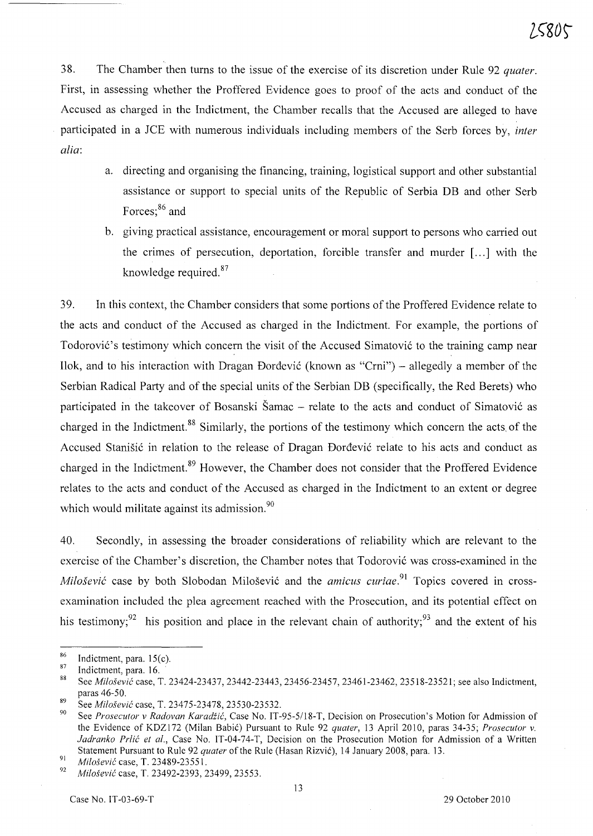38. The Chamber then turns to the issue of the exercise of its discretion under Rule 92 *quater.*  First, in assessing whether the Proffered Evidence goes to proof of the acts and conduct of the Accused as charged in the Indictment, the Chamber recalls that the Accused are alleged to have participated in a *lCE* with numerous individuals including members of the Serb forces by, *inter alia:* 

- a. directing and organising the financing, training, logistical support and other substantial assistance or support to special units of the Republic of Serbia DB and other Serb Forces;<sup>86</sup> and
- b. giving practical assistance, encouragement or moral support to persons who carried out the crimes of persecution, deportation, forcible transfer and murder [ ... ] with the knowledge required.<sup>87</sup>

39. In this context, the Chamber considers that some portions of the Proffered Evidence relate to the acts and conduct of the Accused as charged in the Indictment. For example, the portions of Todorović's testimony which concern the visit of the Accused Simatović to the training camp near Ilok, and to his interaction with Dragan Đorđević (known as "Crni") – allegedly a member of the Serbian Radical Party and of the special units of the Serbian DB (specifically, the Red Berets) who participated in the takeover of Bosanski Šamac – relate to the acts and conduct of Simatović as charged in the Indictment.<sup>88</sup> Similarly, the portions of the testimony which concern the acts of the Accused Stanišić in relation to the release of Dragan Đorđević relate to his acts and conduct as charged in the Indictment.<sup>89</sup> However, the Chamber does not consider that the Proffered Evidence relates to the acts and conduct of the Accused as charged in the Indictment to an extent or degree which would militate against its admission.<sup>90</sup>

40. Secondly, in assessing the broader considerations of reliability which are relevant to the exercise of the Chamber's discretion, the Chamber notes that Todorović was cross-examined in the *Milošević* case by both Slobodan Milošević and the *amicus curiae*.<sup>91</sup> Topics covered in crossexamination included the plea agreement reached with the Prosecution, and its potential effect on his testimony;<sup>92</sup> his position and place in the relevant chain of authority;<sup>93</sup> and the extent of his

 $\frac{86}{87}$  Indictment, para. 15(c).

 $\frac{87}{88}$  Indictment, para. 16.

<sup>88</sup> See *Milosevic* case, T. 23424-23437, 23442-23443, 23456-23457,23461-23462, 23518-23521; see also Indictment, paras 46-50.

<sup>89</sup> See *Milosevic* case, T. 23475-23478, 23530-23532.

<sup>90</sup> See *Prosecutor* v *Radovan Karadiic,* Case No. IT-95-5/18-T, Decision on Prosecution's Motion for Admission of the Evidence of KDZI72 (Milan 8abic) Pursuant to Rule 92 *quater,* 13 April 2010, paras 34-35; *Prosecutor* v. *ladranko Prlic et al.,* Case No. IT-04-74-T, Decision on the Prosecution Motion for Admission of a Written Statement Pursuant to Rule 92 *quater* of the Rule (Hasan Rizvić), 14 January 2008, para. 13.

<sup>&</sup>lt;sup>91</sup> Milošević case, T. 23489-23551.

*<sup>92</sup> Milosevic* case, T. 23492-2393, 23499, 23553.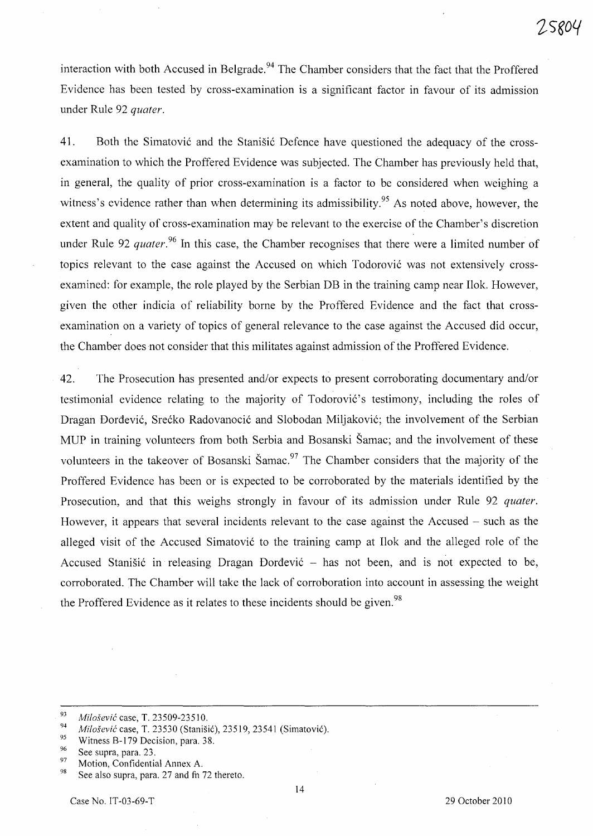interaction with both Accused in Belgrade.<sup>94</sup> The Chamber considers that the fact that the Proffered Evidence has been tested by cross-examination is a significant factor in favour of its admission under Rule 92 *quater.* 

41. Both the Simatovic and the Stanisic Defence have questioned the adequacy of the crossexamination to which the Proffered Evidence was subjected. The Chamber has previously held that, in general, the quality of prior cross-examination is a factor to be considered when weighing a witness's evidence rather than when determining its admissibility.<sup>95</sup> As noted above, however, the extent and quality of cross-examination may be relevant to the exercise of the Chamber's discretion under Rule 92 *quater*.<sup>96</sup> In this case, the Chamber recognises that there were a limited number of topics relevant to the case against the Accused on which Todorovic was not extensively crossexamined: for example, the role played by the Serbian DB in the training camp near Ilok. However, given the other indicia of reliability borne by the Proffered Evidence and the fact that crossexamination on a variety of topics of general relevance to the case against the Accused did occur, the Chamber does not consider that this militates against admission of the Proffered Evidence.

42. The Prosecution has presented and/or expects to present corroborating documentary and/or testimonial evidence relating to the majority of Todorović's testimony, including the roles of Dragan Dordevic, Srecko Radovanocic and Slobodan Miljakovic; the involvement of the Serbian MUP in training volunteers from both Serbia and Bosanski Samac; and the involvement of these volunteers in the takeover of Bosanski Šamac.<sup>97</sup> The Chamber considers that the majority of the Proffered Evidence has been or is expected to be corroborated by the materials identified by the Prosecution, and that this weighs strongly in favour of its admission under Rule 92 *quater.*  However, it appears that several incidents relevant to the case against the Accused – such as the alleged visit of the Accused Simatovic to the training camp at Ilok and the alleged role of the Accused Stanišić in releasing Dragan Đorđević – has not been, and is not expected to be, corroborated. The Chamber will take the lack of corroboration into account in assessing the weight the Proffered Evidence as it relates to these incidents should be given.<sup>98</sup>

*<sup>93</sup> Milosevic* case, T. 23509-23510.

<sup>&</sup>lt;sup>94</sup> Milošević case, T. 23530 (Stanišić), 23519, 23541 (Simatović).

<sup>&</sup>lt;sup>95</sup> Witness B-179 Decision, para. 38.

 $^{96}$  See supra, para. 23.

 $^{97}$  Motion, Confidential Annex A.

See also supra, para. 27 and fn 72 thereto.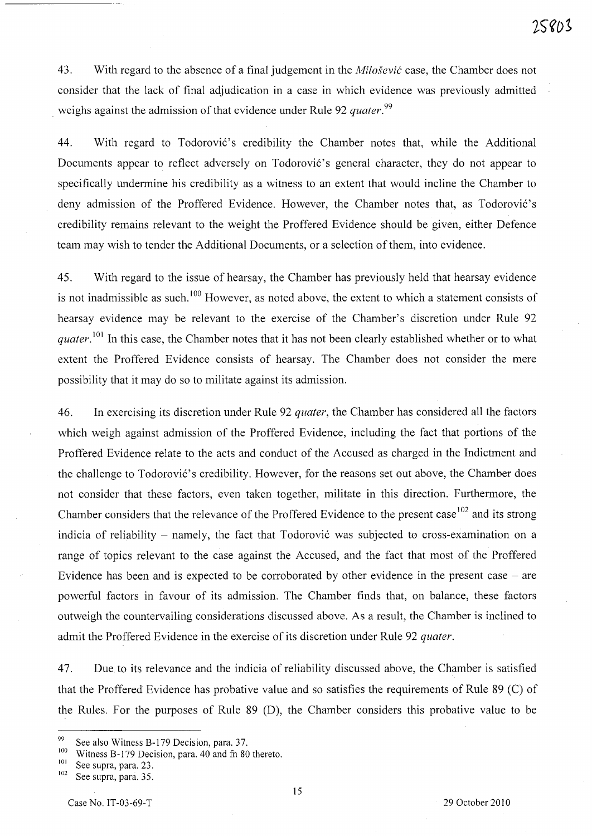43. With regard to the absence of a final judgement in the *Milosevic* case, the Chamber does not consider that the lack of final adjudication in a case in which evidence was previously admitted weighs against the admission of that evidence under Rule 92 *quater. <sup>99</sup>*

44. With regard to Todorović's credibility the Chamber notes that, while the Additional Documents appear to reflect adversely on Todorović's general character, they do not appear to specifically undermine his credibility as a witness to an extent that would incline the Chamber to deny admission of the Proffered Evidence. However, the Chamber notes that, as Todorović's credibility remains relevant to the weight the Proffered Evidence should be given, either Defence team may wish to tender the Additional Documents, or a selection of them, into evidence.

45. With regard to the issue of hearsay, the Chamber has previously held that hearsay evidence is not inadmissible as such.<sup>100</sup> However, as noted above, the extent to which a statement consists of hearsay evidence may be relevant to the exercise of the Chamber's discretion under Rule 92 *quater*.<sup>101</sup> In this case, the Chamber notes that it has not been clearly established whether or to what extent the Proffered Evidence consists of hearsay. The Chamber does not consider the mere possibility that it may do so to militate against its admission.

46. In exercising its discretion under Rule 92 *quater,* the Chamber has considered all the factors which weigh against admission of the Proffered Evidence, including the fact that portions of the Proffered Evidence relate to the acts and conduct of the Accused as charged in the Indictment and the challenge to Todorović's credibility. However, for the reasons set out above, the Chamber does not consider that these factors, even taken together, militate in this direction. Furthermore, the Chamber considers that the relevance of the Proffered Evidence to the present case<sup>102</sup> and its strong indicia of reliability - namely, the fact that Todorović was subjected to cross-examination on a range of topics relevant to the case against the Accused, and the fact that most of the Proffered Evidence has been and is expected to be corroborated by other evidence in the present case  $-$  are powerful factors in favour of its admission. The Chamber finds that, on balance, these factors outweigh the countervailing considerations discussed above. As a result, the Chamber is inclined to admit the Proffered Evidence in the exercise of its discretion under Rule 92 *quater.* 

47. Due to its relevance and the indicia of reliability discussed above, the Chamber is satisfied that the Proffered Evidence has probative value and so satisfies the requirements of Rule  $89$  (C) of the Rules. For the purposes of Rule 89 CD), the Chamber considers this probative value to be

<sup>&</sup>lt;sup>99</sup> See also Witness B-179 Decision, para. 37.

<sup>&</sup>lt;sup>100</sup> Witness B-179 Decision, para. 40 and fn 80 thereto.

 $\frac{101}{102}$  See supra, para. 23.

See supra, para. 35.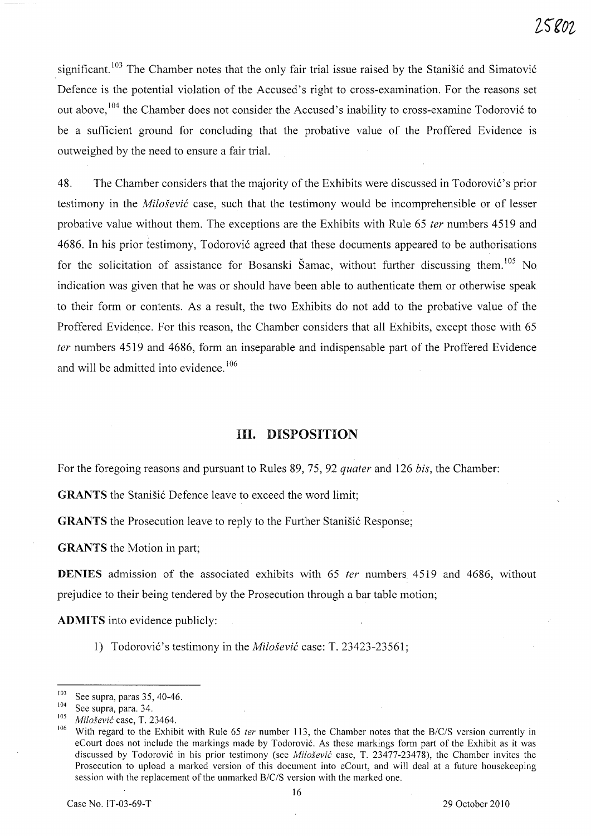significant. <sup>103</sup> The Chamber notes that the only fair trial issue raised by the Stanisić and Simatović Defence is the potential violation of the Accused's right to cross-examination. For the reasons set out above,<sup>104</sup> the Chamber does not consider the Accused's inability to cross-examine Todorović to be a sufficient ground for concluding that the probative value of the Proffered Evidence is outweighed by the need to ensure a fair trial.

48. The Chamber considers that the majority of the Exhibits were discussed in Todorović's prior testimony in the *Milosevic* case, such that the testimony would be incomprehensible or of lesser probative value without them. The exceptions are the Exhibits with Rule 65 *ter* numbers 4519 and 4686. In his prior testimony, Todorović agreed that these documents appeared to be authorisations for the solicitation of assistance for Bosanski Šamac, without further discussing them.<sup>105</sup> No. indication was given that he was or should have been able to authenticate them or otherwise speak to their form or contents. As a result, the two Exhibits do not add to the probative value of the Proffered Evidence. For this reason, the Chamber considers that all Exhibits, except those with 65 fer numbers 4519 and 4686, form an inseparable and indispensable part of the Proffered Evidence and will be admitted into evidence.<sup>106</sup>

# **HI. DISPOSITION**

For the foregoing reasons and pursuant to Rules 89, 75, 92 *quater* and 126 *bis*, the Chamber:

**GRANTS** the Stanišić Defence leave to exceed the word limit;

**GRANTS** the Prosecution leave to reply to the Further Stanisić Response;

**GRANTS** the Motion in part;

**DENIES** admission of the associated exhibits with 65 *ter* numbers 4519 and 4686, without prejudice to their being tendered by the Prosecution through a bar table motion;

**ADMITS** into evidence publicly:

1) Todorović's testimony in the *Milošević* case: T. 23423-23561;

 $\frac{103}{104}$  See supra, paras 35, 40-46.

 $\frac{104}{105}$  See supra, para. 34.

<sup>105</sup>*Milosevic* case, T. 23464.

With regard to the Exhibit with Rule 65 ter number 113, the Chamber notes that the B/C/S version currently in eCourt does not include the markings made by Todorovic. As these markings form part of the Exhibit as it was discussed by Todorovic in his prior testimony (see *Milosevic* case, T. 23477-23478), the Chamber invites the Prosecution to upload a marked version of this document into eCourt, and will deal at a future housekeeping session with the replacement of the unmarked *B/c/S* version with the marked one.